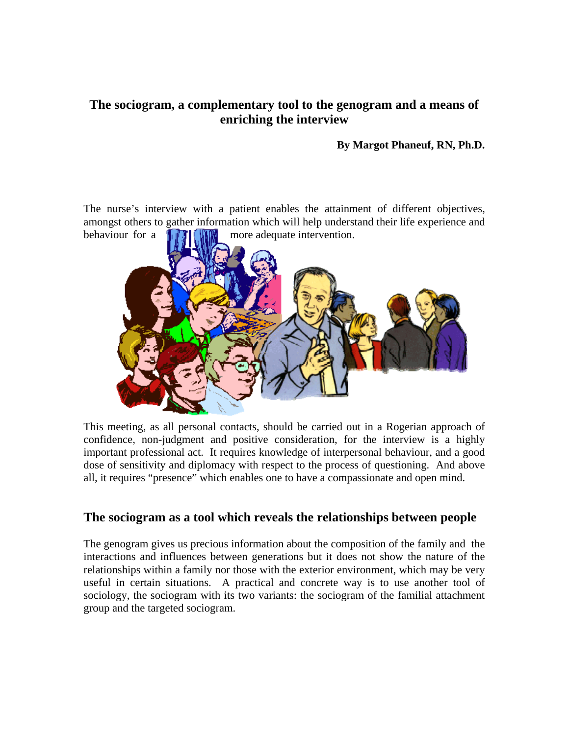## **The sociogram, a complementary tool to the genogram and a means of enriching the interview**

#### **By Margot Phaneuf, RN, Ph.D.**

The nurse's interview with a patient enables the attainment of different objectives, amongst others to gather information which will help understand their life experience and behaviour for a  $\left[\begin{array}{cc} \bullet & \bullet \\ \bullet & \bullet \end{array}\right]$  more adequate intervention.



This meeting, as all personal contacts, should be carried out in a Rogerian approach of confidence, non-judgment and positive consideration, for the interview is a highly important professional act. It requires knowledge of interpersonal behaviour, and a good dose of sensitivity and diplomacy with respect to the process of questioning. And above all, it requires "presence" which enables one to have a compassionate and open mind.

#### **The sociogram as a tool which reveals the relationships between people**

The genogram gives us precious information about the composition of the family and the interactions and influences between generations but it does not show the nature of the relationships within a family nor those with the exterior environment, which may be very useful in certain situations. A practical and concrete way is to use another tool of sociology, the sociogram with its two variants: the sociogram of the familial attachment group and the targeted sociogram.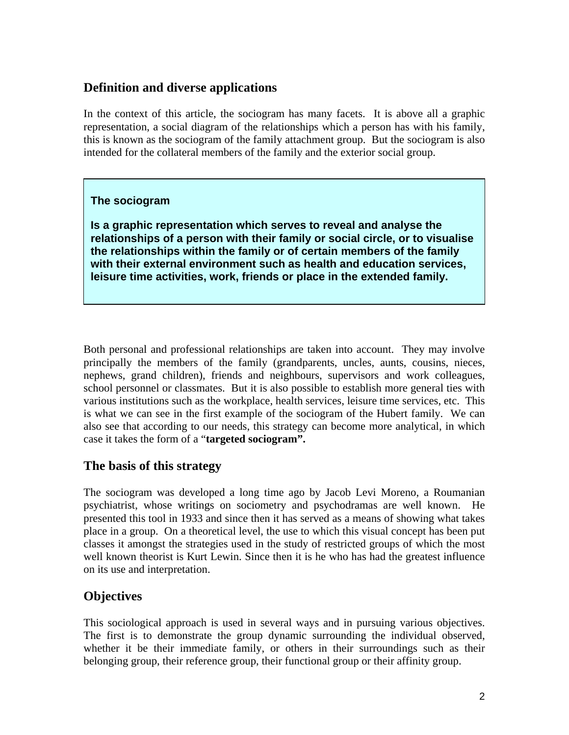## **Definition and diverse applications**

In the context of this article, the sociogram has many facets. It is above all a graphic representation, a social diagram of the relationships which a person has with his family, this is known as the sociogram of the family attachment group. But the sociogram is also intended for the collateral members of the family and the exterior social group.

#### **The sociogram**

**Is a graphic representation which serves to reveal and analyse the relationships of a person with their family or social circle, or to visualise the relationships within the family or of certain members of the family with their external environment such as health and education services, leisure time activities, work, friends or place in the extended family.** 

Both personal and professional relationships are taken into account. They may involve principally the members of the family (grandparents, uncles, aunts, cousins, nieces, nephews, grand children), friends and neighbours, supervisors and work colleagues, school personnel or classmates. But it is also possible to establish more general ties with various institutions such as the workplace, health services, leisure time services, etc. This is what we can see in the first example of the sociogram of the Hubert family. We can also see that according to our needs, this strategy can become more analytical, in which case it takes the form of a "**targeted sociogram".** 

## **The basis of this strategy**

The sociogram was developed a long time ago by Jacob Levi Moreno, a Roumanian psychiatrist, whose writings on sociometry and psychodramas are well known. He presented this tool in 1933 and since then it has served as a means of showing what takes place in a group. On a theoretical level, the use to which this visual concept has been put classes it amongst the strategies used in the study of restricted groups of which the most well known theorist is Kurt Lewin. Since then it is he who has had the greatest influence on its use and interpretation.

# **Objectives**

This sociological approach is used in several ways and in pursuing various objectives. The first is to demonstrate the group dynamic surrounding the individual observed, whether it be their immediate family, or others in their surroundings such as their belonging group, their reference group, their functional group or their affinity group.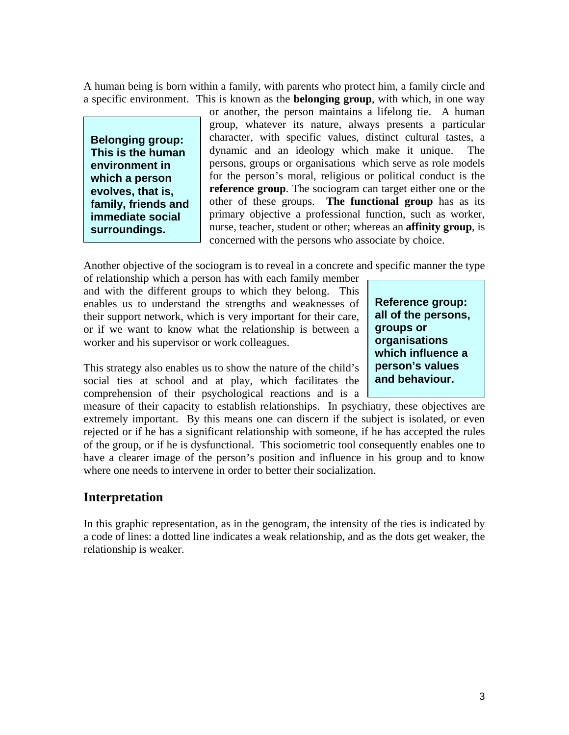A human being is born within a family, with parents who protect him, a family circle and a specific environment. This is known as the **belonging group**, with which, in one way

**Belonging group: This is the human environment in which a person evolves, that is, family, friends and immediate social surroundings.** 

or another, the person maintains a lifelong tie. A human group, whatever its nature, always presents a particular character, with specific values, distinct cultural tastes, a dynamic and an ideology which make it unique. The persons, groups or organisations which serve as role models for the person's moral, religious or political conduct is the **reference group**. The sociogram can target either one or the other of these groups. **The functional group** has as its primary objective a professional function, such as worker, nurse, teacher, student or other; whereas an **affinity group**, is concerned with the persons who associate by choice.

Another objective of the sociogram is to reveal in a concrete and specific manner the type

of relationship which a person has with each family member and with the different groups to which they belong. This enables us to understand the strengths and weaknesses of their support network, which is very important for their care, or if we want to know what the relationship is between a worker and his supervisor or work colleagues.

This strategy also enables us to show the nature of the child's social ties at school and at play, which facilitates the

comprehension of their psychological reactions and is a measure of their capacity to establish relationships. In psychiatry, these objectives are extremely important. By this means one can discern if the subject is isolated, or even rejected or if he has a significant relationship with someone, if he has accepted the rules of the group, or if he is dysfunctional. This sociometric tool consequently enables one to have a clearer image of the person's position and influence in his group and to know where one needs to intervene in order to better their socialization.

#### **Interpretation**

In this graphic representation, as in the genogram, the intensity of the ties is indicated by a code of lines: a dotted line indicates a weak relationship, and as the dots get weaker, the relationship is weaker.

**Reference group: all of the persons, groups or organisations which influence a person's values and behaviour.**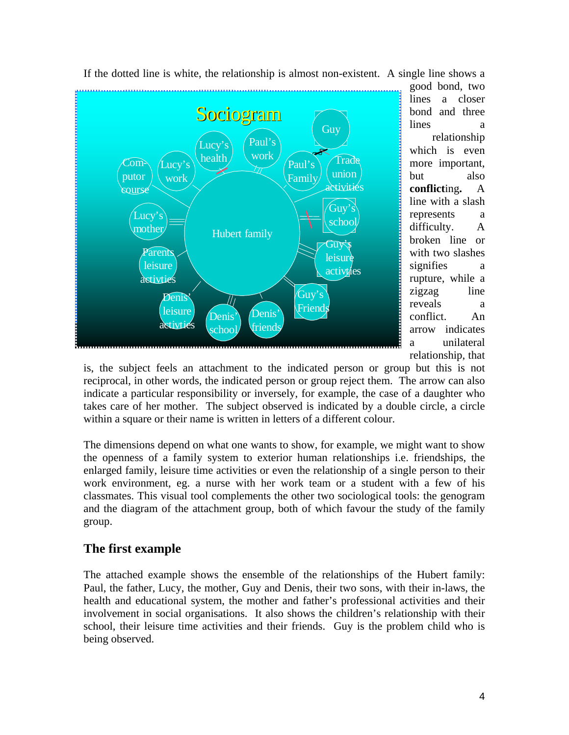

good bond, two lines a closer bond and three lines a relationship which is even more important, but also **conflict**ing**.** A line with a slash represents a difficulty. A broken line or with two slashes signifies a rupture, while a zigzag line reveals a conflict. An arrow indicates unilateral relationship, that a

is, the subject feels an attachment to the indicated person or group but this is not reciprocal, in other words, the indicated person or group reject them. The arrow can also indicate a particular responsibility or inversely, for example, the case of a daughter who takes care of her mother. The subject observed is indicated by a double circle, a c ircle within a square or their name is written in letters of a different colour.

and the diagram of the attachment group, both of which favour the study of the family group. The dimensions depend on what one wants to show, for example, we might want to show the openness of a family system to exterior human relationships i.e. friendships, the enlarged family, leisure time activities or even the relationship of a single person to their work environment, eg. a nurse with her work team or a student with a few of his classmates. This visual tool complements the other two sociological tools: the genogram

## **he first example T**

school, their leisure time activities and their friends. Guy is the problem child who is being observed. The attached example shows the ensemble of the relationships of the Hubert family: Paul, the father, Lucy, the mother, Guy and Denis, their two sons, with their in-laws, the health and educational system, the mother and father's professional activities and their involvement in social organisations. It also shows the children's relationship with their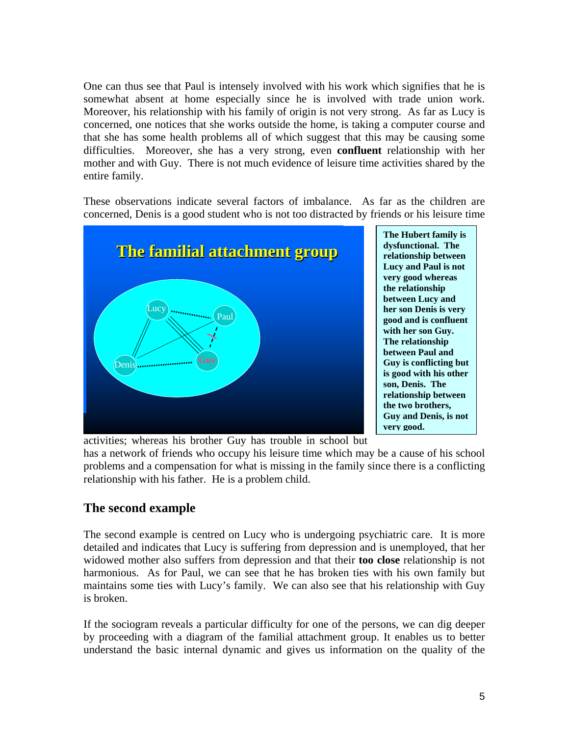One can thus see that Paul is intensely involved with his work which signifies that he is somewhat absent at home especially since he is involved with trade union work. Moreover, his relationship with his family of origin is not very strong. As far as Lucy is concerned, one notices that she works outside the home, is taking a computer course and that she has some health problems all of which suggest that this may be causing some difficulties. Moreover, she has a very strong, even **confluent** relationship with her mother and with Guy. There is not much evidence of leisure time activities shared by the entire family.

concerned, Denis is a good student who is not too distracted by friends or his leisure time These observations indicate several factors of imbalance. As far as the children are



**The Hubert family is dysfunctional. The relationship between**  Lucy and Paul is not **very good wherea s the relationship between Lucy and her son Denis is very good and is confluen t with her son Guy. The relationship between Paul and Guy is conflicting but is good with his other son, Denis. The relationship between the two brothers, Guy and De nis, is not very good.** 

activities; whereas his brother Guy has trouble in school but

problems and a compensation for what is missing in the family since there is a conflicting relationship with his father. He is a problem child. has a network of friends who occupy his leisure time which may be a cause of his school

# The second example

maintains some ties with Lucy's family. We can also see that his relationship with Guy is broken. The second example is centred on Lucy who is undergoing psychiatric care. It is more detailed and indicates that Lucy is suffering from depression and is unemployed, that her widowed mother also suffers from depression and that their **too close** relationship is not harmonious. As for Paul, we can see that he has broken ties with his own family but

If the sociogram reveals a particular difficulty for one of the persons, we can dig deeper by proceeding with a diagram of the familial attachment group. It enables us to better understand the basic internal dynamic and gives us information on the quality of the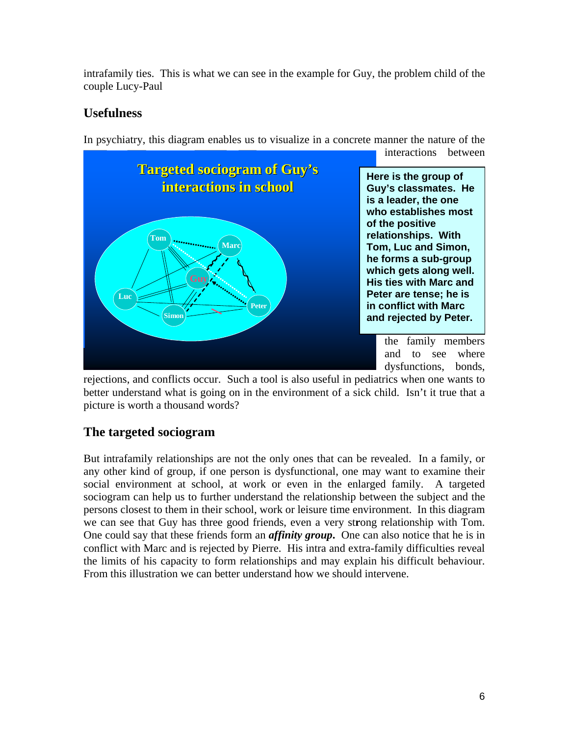intrafamily ties. This is what we can see in the example for Guy, the problem child of the couple Lucy-Paul

# **Usefulness**

In psychiatry, this diagram enables us to visualize in a concrete manner the nature of the



rejections, and conflicts occur. Such a tool is also useful in pediatrics when one wants to better understand what is going on in the environment of a sick child. Isn't it true that a picture is worth a thousand words?

# **The targeted sociogram**

conflict with Marc and is rejected by Pierre. His intra and extra-family difficulties reveal the limits of his capacity to form relationships and may explain his difficult behaviour. From this illustration we can better understand how we should intervene. But intrafamily relationships are not the only ones that can be revealed. In a family, or any other kind of group, if one person is dysfunctional, one may want to examine their social environment at school, at work or even in the enlarged family. A targeted sociogram can help us to further understand the relationship between the subject and the persons closest to them in their school, work or leisure time environment. In this diagram we can see that Guy has three good friends, even a very st**r**ong relationship with Tom. One could say that these friends form an *affinity group***.** One can also notice that he is in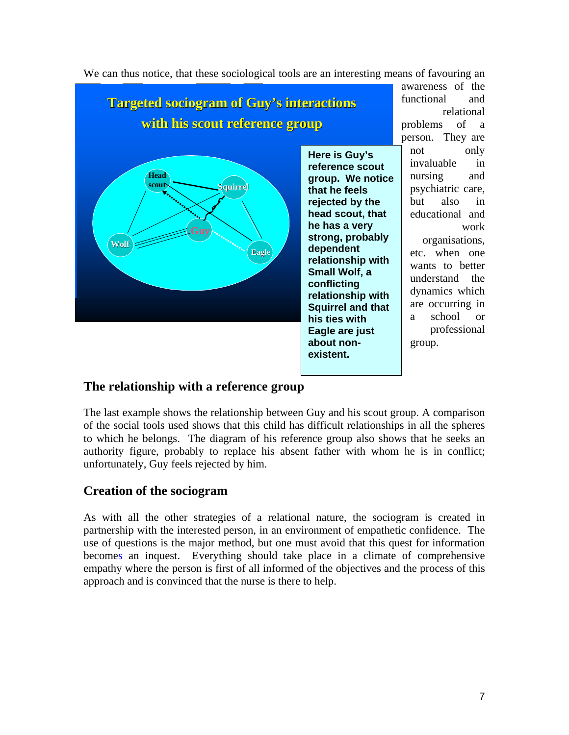

We can thus notice, that these sociological tools are an interesting means of favouring an

## **The relationship with a reference group**

The last example shows the relationship between Guy and his scout group. A comparison of the social tools used shows that this child has difficult relationships in all the spheres to which he belongs. The diagram of his reference group also shows that he seeks an authority figure, probably to replace his absent father with whom he is in conflict; unfortunately, Guy feels rejected by him.

#### **Creation of the sociogram**

As with all the other strategies of a relational nature, the sociogram is created in partnership with the interested person, in an environment of empathetic confidence. The use of questions is the major method, but one must avoid that this quest for information becomes an inquest. Everything should take place in a climate of comprehensive empathy where the person is first of all informed of the objectives and the process of this approach and is convinced that the nurse is there to help.